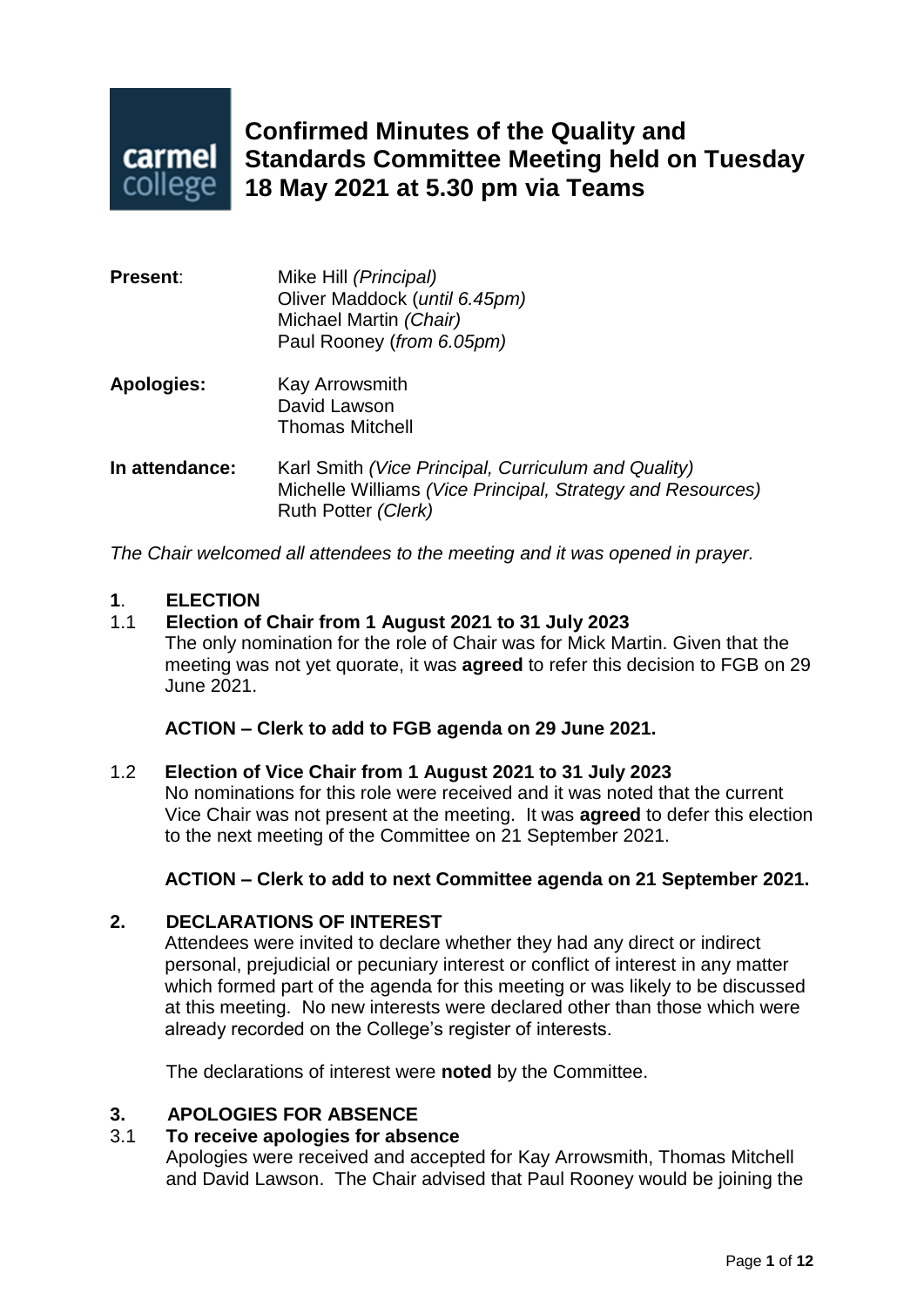

# **Confirmed Minutes of the Quality and Standards Committee Meeting held on Tuesday 18 May 2021 at 5.30 pm via Teams**

| <b>Present:</b>   | Mike Hill (Principal)<br>Oliver Maddock (until 6.45pm)<br>Michael Martin (Chair)<br>Paul Rooney (from 6.05pm)                            |
|-------------------|------------------------------------------------------------------------------------------------------------------------------------------|
| <b>Apologies:</b> | Kay Arrowsmith<br>David Lawson<br><b>Thomas Mitchell</b>                                                                                 |
| In attendance:    | Karl Smith (Vice Principal, Curriculum and Quality)<br>Michelle Williams (Vice Principal, Strategy and Resources)<br>Ruth Potter (Clerk) |

*The Chair welcomed all attendees to the meeting and it was opened in prayer.*

#### **1**. **ELECTION**

# 1.1 **Election of Chair from 1 August 2021 to 31 July 2023**

The only nomination for the role of Chair was for Mick Martin. Given that the meeting was not yet quorate, it was **agreed** to refer this decision to FGB on 29 June 2021.

**ACTION – Clerk to add to FGB agenda on 29 June 2021.**

#### 1.2 **Election of Vice Chair from 1 August 2021 to 31 July 2023**

No nominations for this role were received and it was noted that the current Vice Chair was not present at the meeting. It was **agreed** to defer this election to the next meeting of the Committee on 21 September 2021.

#### **ACTION – Clerk to add to next Committee agenda on 21 September 2021.**

#### **2. DECLARATIONS OF INTEREST**

Attendees were invited to declare whether they had any direct or indirect personal, prejudicial or pecuniary interest or conflict of interest in any matter which formed part of the agenda for this meeting or was likely to be discussed at this meeting. No new interests were declared other than those which were already recorded on the College's register of interests.

The declarations of interest were **noted** by the Committee.

#### **3. APOLOGIES FOR ABSENCE**

#### 3.1 **To receive apologies for absence**

Apologies were received and accepted for Kay Arrowsmith, Thomas Mitchell and David Lawson. The Chair advised that Paul Rooney would be joining the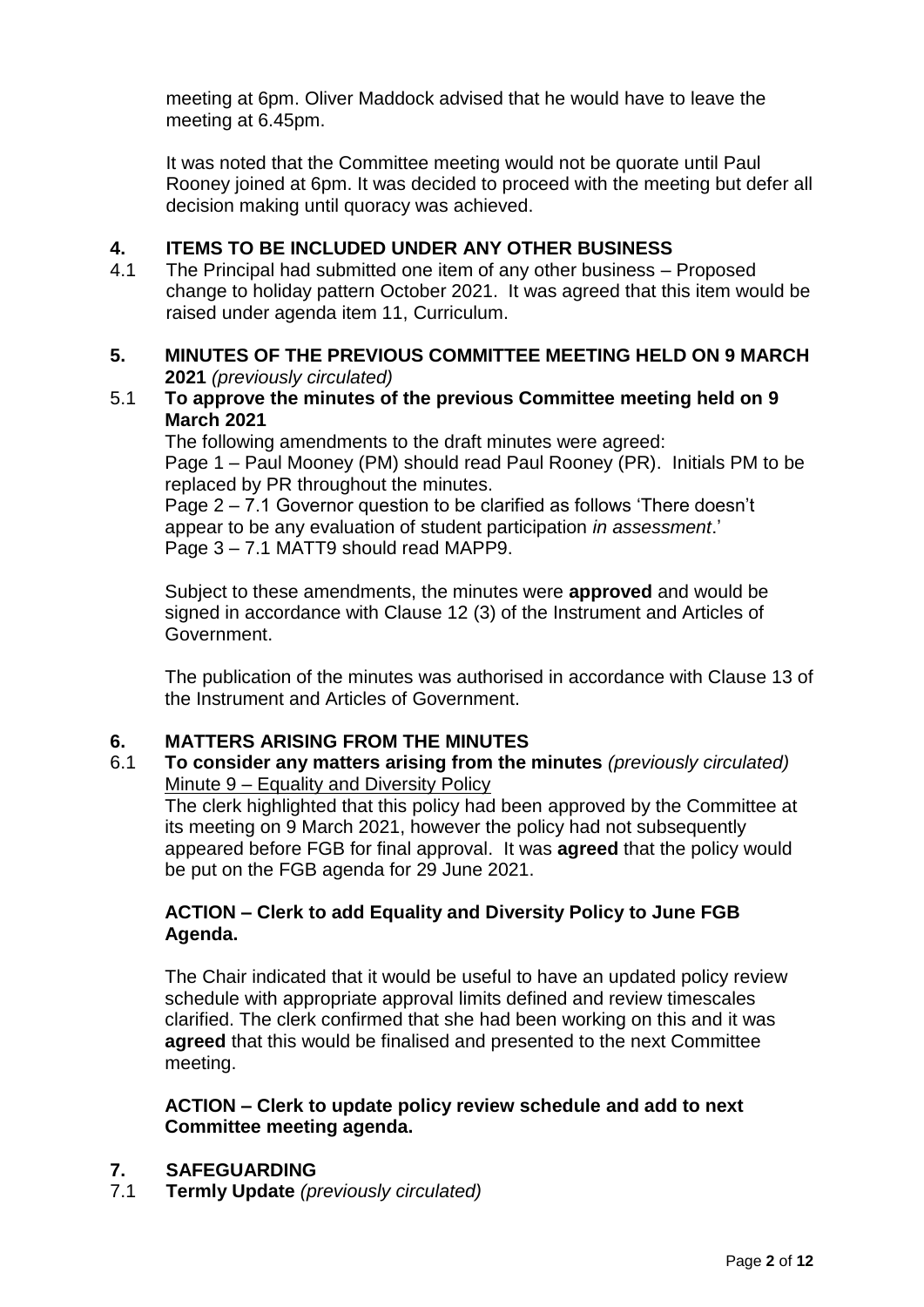meeting at 6pm. Oliver Maddock advised that he would have to leave the meeting at 6.45pm.

It was noted that the Committee meeting would not be quorate until Paul Rooney joined at 6pm. It was decided to proceed with the meeting but defer all decision making until quoracy was achieved.

# **4. ITEMS TO BE INCLUDED UNDER ANY OTHER BUSINESS**

4.1 The Principal had submitted one item of any other business – Proposed change to holiday pattern October 2021. It was agreed that this item would be raised under agenda item 11, Curriculum.

#### **5. MINUTES OF THE PREVIOUS COMMITTEE MEETING HELD ON 9 MARCH 2021** *(previously circulated)*

#### 5.1 **To approve the minutes of the previous Committee meeting held on 9 March 2021**

The following amendments to the draft minutes were agreed: Page 1 – Paul Mooney (PM) should read Paul Rooney (PR). Initials PM to be replaced by PR throughout the minutes.

Page 2 – 7.1 Governor question to be clarified as follows 'There doesn't appear to be any evaluation of student participation *in assessment*.' Page 3 – 7.1 MATT9 should read MAPP9.

Subject to these amendments, the minutes were **approved** and would be signed in accordance with Clause 12 (3) of the Instrument and Articles of Government.

The publication of the minutes was authorised in accordance with Clause 13 of the Instrument and Articles of Government.

#### **6. MATTERS ARISING FROM THE MINUTES**

6.1 **To consider any matters arising from the minutes** *(previously circulated)* Minute 9 – Equality and Diversity Policy

The clerk highlighted that this policy had been approved by the Committee at its meeting on 9 March 2021, however the policy had not subsequently appeared before FGB for final approval. It was **agreed** that the policy would be put on the FGB agenda for 29 June 2021.

# **ACTION – Clerk to add Equality and Diversity Policy to June FGB Agenda.**

The Chair indicated that it would be useful to have an updated policy review schedule with appropriate approval limits defined and review timescales clarified. The clerk confirmed that she had been working on this and it was **agreed** that this would be finalised and presented to the next Committee meeting.

#### **ACTION – Clerk to update policy review schedule and add to next Committee meeting agenda.**

#### **7. SAFEGUARDING**

7.1 **Termly Update** *(previously circulated)*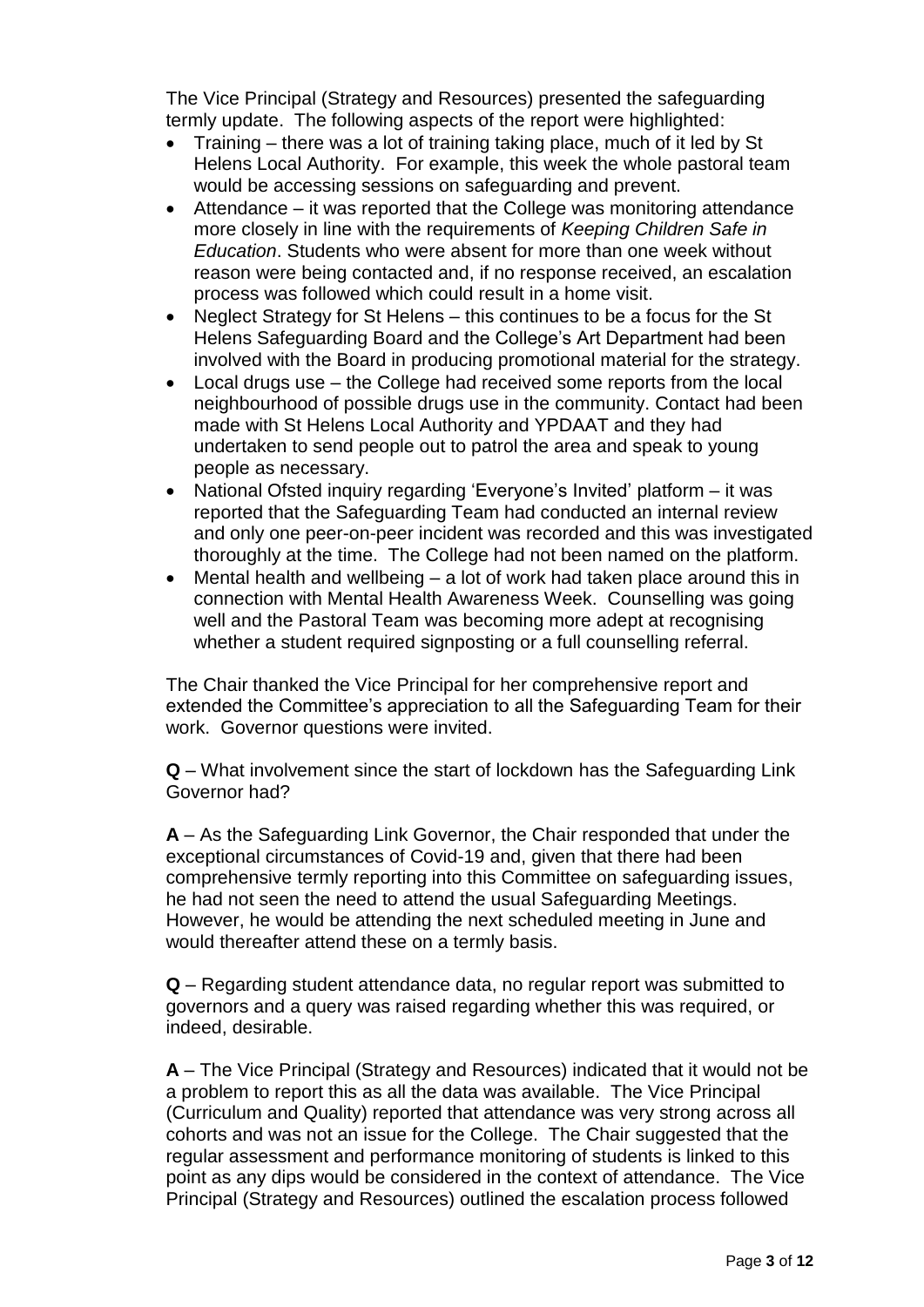The Vice Principal (Strategy and Resources) presented the safeguarding termly update. The following aspects of the report were highlighted:

- Training there was a lot of training taking place, much of it led by St Helens Local Authority. For example, this week the whole pastoral team would be accessing sessions on safeguarding and prevent.
- Attendance it was reported that the College was monitoring attendance more closely in line with the requirements of *Keeping Children Safe in Education*. Students who were absent for more than one week without reason were being contacted and, if no response received, an escalation process was followed which could result in a home visit.
- Neglect Strategy for St Helens this continues to be a focus for the St Helens Safeguarding Board and the College's Art Department had been involved with the Board in producing promotional material for the strategy.
- Local drugs use the College had received some reports from the local neighbourhood of possible drugs use in the community. Contact had been made with St Helens Local Authority and YPDAAT and they had undertaken to send people out to patrol the area and speak to young people as necessary.
- National Ofsted inquiry regarding 'Everyone's Invited' platform it was reported that the Safeguarding Team had conducted an internal review and only one peer-on-peer incident was recorded and this was investigated thoroughly at the time. The College had not been named on the platform.
- Mental health and wellbeing a lot of work had taken place around this in connection with Mental Health Awareness Week. Counselling was going well and the Pastoral Team was becoming more adept at recognising whether a student required signposting or a full counselling referral.

The Chair thanked the Vice Principal for her comprehensive report and extended the Committee's appreciation to all the Safeguarding Team for their work. Governor questions were invited.

**Q** – What involvement since the start of lockdown has the Safeguarding Link Governor had?

**A** – As the Safeguarding Link Governor, the Chair responded that under the exceptional circumstances of Covid-19 and, given that there had been comprehensive termly reporting into this Committee on safeguarding issues, he had not seen the need to attend the usual Safeguarding Meetings. However, he would be attending the next scheduled meeting in June and would thereafter attend these on a termly basis.

**Q** – Regarding student attendance data, no regular report was submitted to governors and a query was raised regarding whether this was required, or indeed, desirable.

**A** – The Vice Principal (Strategy and Resources) indicated that it would not be a problem to report this as all the data was available. The Vice Principal (Curriculum and Quality) reported that attendance was very strong across all cohorts and was not an issue for the College. The Chair suggested that the regular assessment and performance monitoring of students is linked to this point as any dips would be considered in the context of attendance. The Vice Principal (Strategy and Resources) outlined the escalation process followed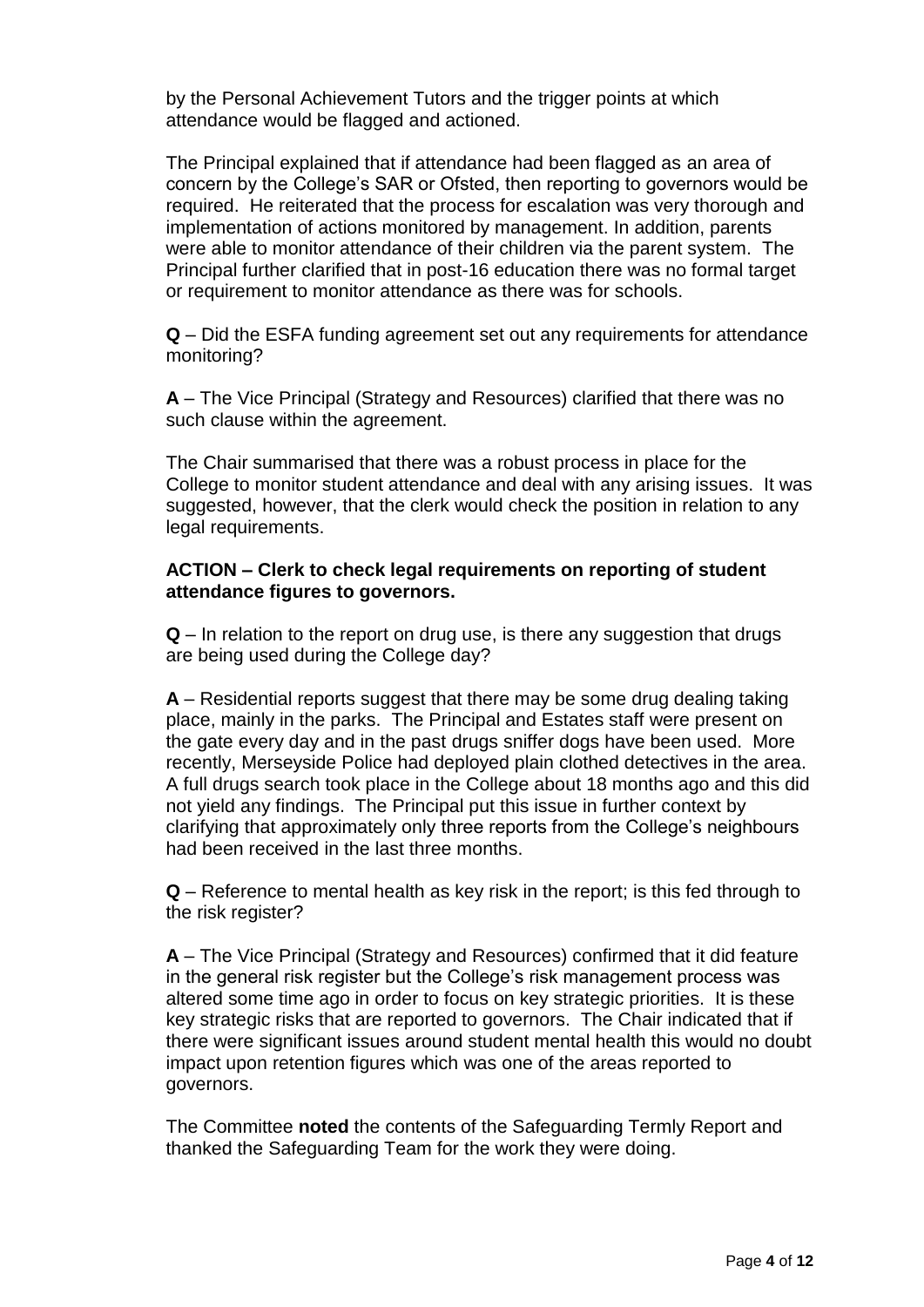by the Personal Achievement Tutors and the trigger points at which attendance would be flagged and actioned.

The Principal explained that if attendance had been flagged as an area of concern by the College's SAR or Ofsted, then reporting to governors would be required. He reiterated that the process for escalation was very thorough and implementation of actions monitored by management. In addition, parents were able to monitor attendance of their children via the parent system. The Principal further clarified that in post-16 education there was no formal target or requirement to monitor attendance as there was for schools.

**Q** – Did the ESFA funding agreement set out any requirements for attendance monitoring?

**A** – The Vice Principal (Strategy and Resources) clarified that there was no such clause within the agreement.

The Chair summarised that there was a robust process in place for the College to monitor student attendance and deal with any arising issues. It was suggested, however, that the clerk would check the position in relation to any legal requirements.

#### **ACTION – Clerk to check legal requirements on reporting of student attendance figures to governors.**

**Q** – In relation to the report on drug use, is there any suggestion that drugs are being used during the College day?

**A** – Residential reports suggest that there may be some drug dealing taking place, mainly in the parks. The Principal and Estates staff were present on the gate every day and in the past drugs sniffer dogs have been used. More recently, Merseyside Police had deployed plain clothed detectives in the area. A full drugs search took place in the College about 18 months ago and this did not yield any findings. The Principal put this issue in further context by clarifying that approximately only three reports from the College's neighbours had been received in the last three months.

**Q** – Reference to mental health as key risk in the report; is this fed through to the risk register?

**A** – The Vice Principal (Strategy and Resources) confirmed that it did feature in the general risk register but the College's risk management process was altered some time ago in order to focus on key strategic priorities. It is these key strategic risks that are reported to governors. The Chair indicated that if there were significant issues around student mental health this would no doubt impact upon retention figures which was one of the areas reported to governors.

The Committee **noted** the contents of the Safeguarding Termly Report and thanked the Safeguarding Team for the work they were doing.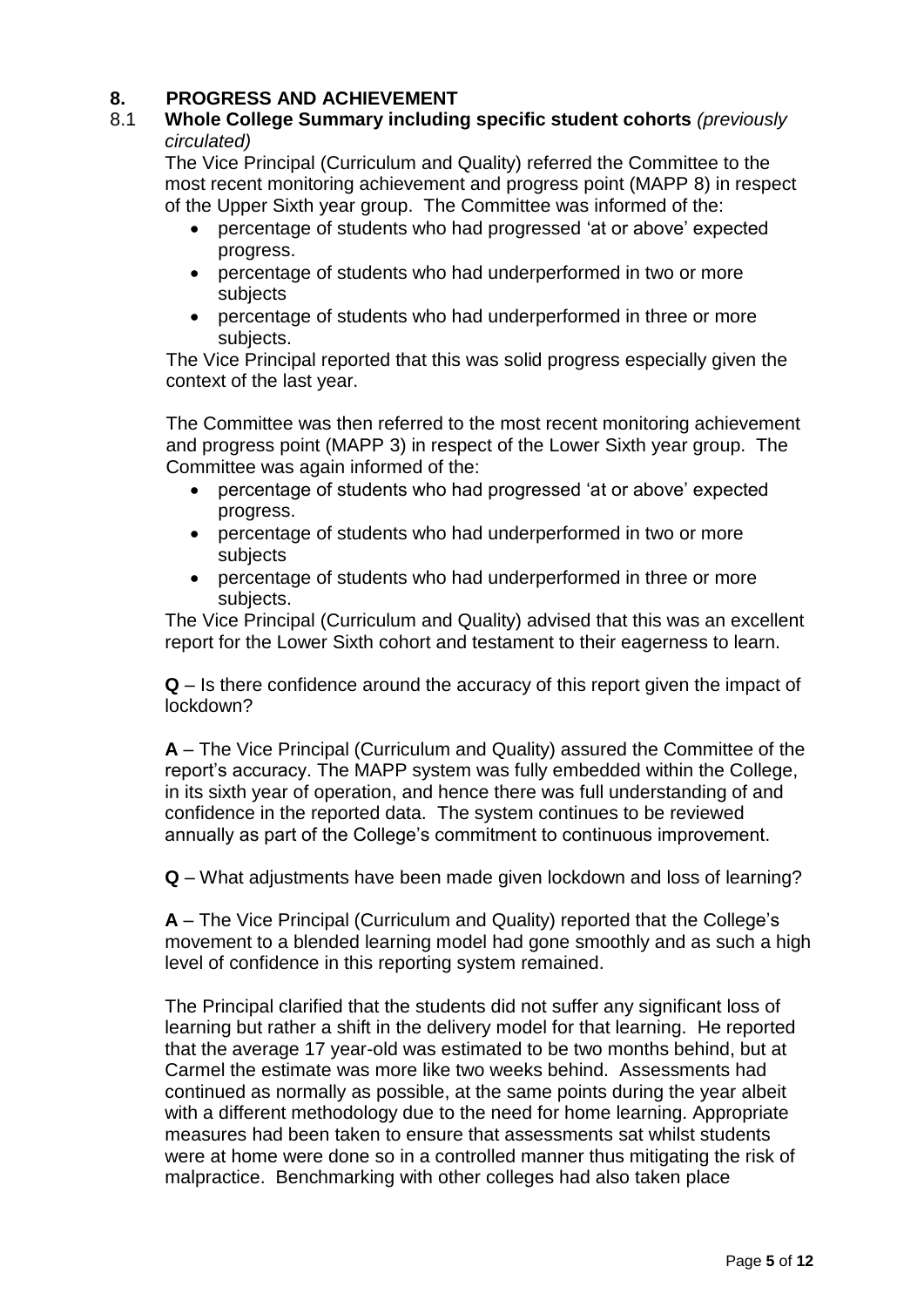# **8. PROGRESS AND ACHIEVEMENT**

#### 8.1 **Whole College Summary including specific student cohorts** *(previously circulated)*

The Vice Principal (Curriculum and Quality) referred the Committee to the most recent monitoring achievement and progress point (MAPP 8) in respect of the Upper Sixth year group. The Committee was informed of the:

- percentage of students who had progressed 'at or above' expected progress.
- percentage of students who had underperformed in two or more subjects
- percentage of students who had underperformed in three or more subjects.

The Vice Principal reported that this was solid progress especially given the context of the last year.

The Committee was then referred to the most recent monitoring achievement and progress point (MAPP 3) in respect of the Lower Sixth year group. The Committee was again informed of the:

- percentage of students who had progressed 'at or above' expected progress.
- percentage of students who had underperformed in two or more subjects
- percentage of students who had underperformed in three or more subjects.

The Vice Principal (Curriculum and Quality) advised that this was an excellent report for the Lower Sixth cohort and testament to their eagerness to learn.

**Q** – Is there confidence around the accuracy of this report given the impact of lockdown?

**A** – The Vice Principal (Curriculum and Quality) assured the Committee of the report's accuracy. The MAPP system was fully embedded within the College, in its sixth year of operation, and hence there was full understanding of and confidence in the reported data. The system continues to be reviewed annually as part of the College's commitment to continuous improvement.

**Q** – What adjustments have been made given lockdown and loss of learning?

**A** – The Vice Principal (Curriculum and Quality) reported that the College's movement to a blended learning model had gone smoothly and as such a high level of confidence in this reporting system remained.

The Principal clarified that the students did not suffer any significant loss of learning but rather a shift in the delivery model for that learning. He reported that the average 17 year-old was estimated to be two months behind, but at Carmel the estimate was more like two weeks behind. Assessments had continued as normally as possible, at the same points during the year albeit with a different methodology due to the need for home learning. Appropriate measures had been taken to ensure that assessments sat whilst students were at home were done so in a controlled manner thus mitigating the risk of malpractice. Benchmarking with other colleges had also taken place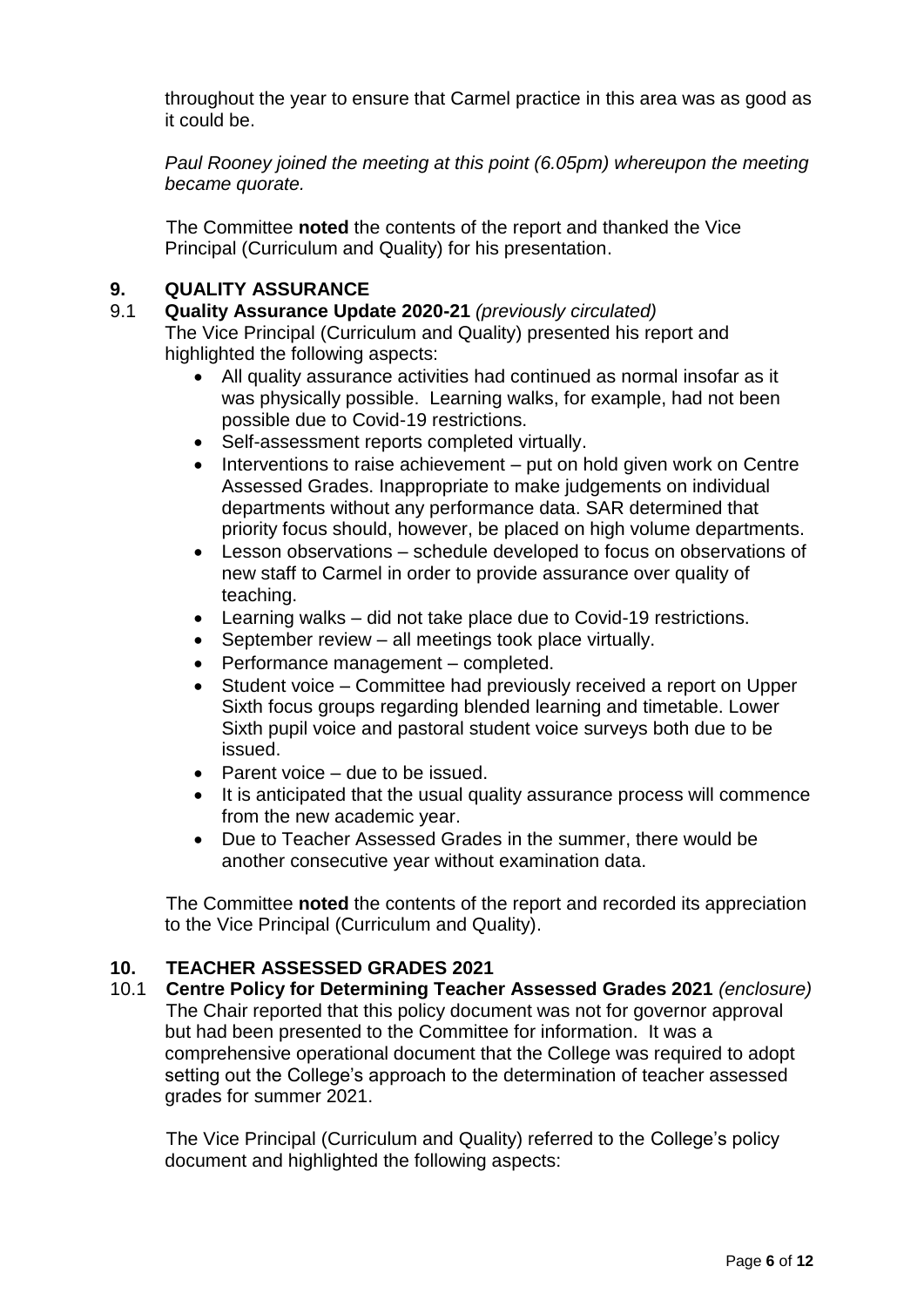throughout the year to ensure that Carmel practice in this area was as good as it could be.

*Paul Rooney joined the meeting at this point (6.05pm) whereupon the meeting became quorate.*

The Committee **noted** the contents of the report and thanked the Vice Principal (Curriculum and Quality) for his presentation.

# **9. QUALITY ASSURANCE**

#### 9.1 **Quality Assurance Update 2020-21** *(previously circulated)*

The Vice Principal (Curriculum and Quality) presented his report and highlighted the following aspects:

- All quality assurance activities had continued as normal insofar as it was physically possible. Learning walks, for example, had not been possible due to Covid-19 restrictions.
- Self-assessment reports completed virtually.
- Interventions to raise achievement put on hold given work on Centre Assessed Grades. Inappropriate to make judgements on individual departments without any performance data. SAR determined that priority focus should, however, be placed on high volume departments.
- Lesson observations schedule developed to focus on observations of new staff to Carmel in order to provide assurance over quality of teaching.
- Learning walks did not take place due to Covid-19 restrictions.
- September review all meetings took place virtually.
- Performance management completed.
- Student voice Committee had previously received a report on Upper Sixth focus groups regarding blended learning and timetable. Lower Sixth pupil voice and pastoral student voice surveys both due to be issued.
- Parent voice due to be issued.
- It is anticipated that the usual quality assurance process will commence from the new academic year.
- Due to Teacher Assessed Grades in the summer, there would be another consecutive year without examination data.

The Committee **noted** the contents of the report and recorded its appreciation to the Vice Principal (Curriculum and Quality).

#### **10. TEACHER ASSESSED GRADES 2021**

10.1 **Centre Policy for Determining Teacher Assessed Grades 2021** *(enclosure)* The Chair reported that this policy document was not for governor approval but had been presented to the Committee for information. It was a comprehensive operational document that the College was required to adopt setting out the College's approach to the determination of teacher assessed grades for summer 2021.

The Vice Principal (Curriculum and Quality) referred to the College's policy document and highlighted the following aspects: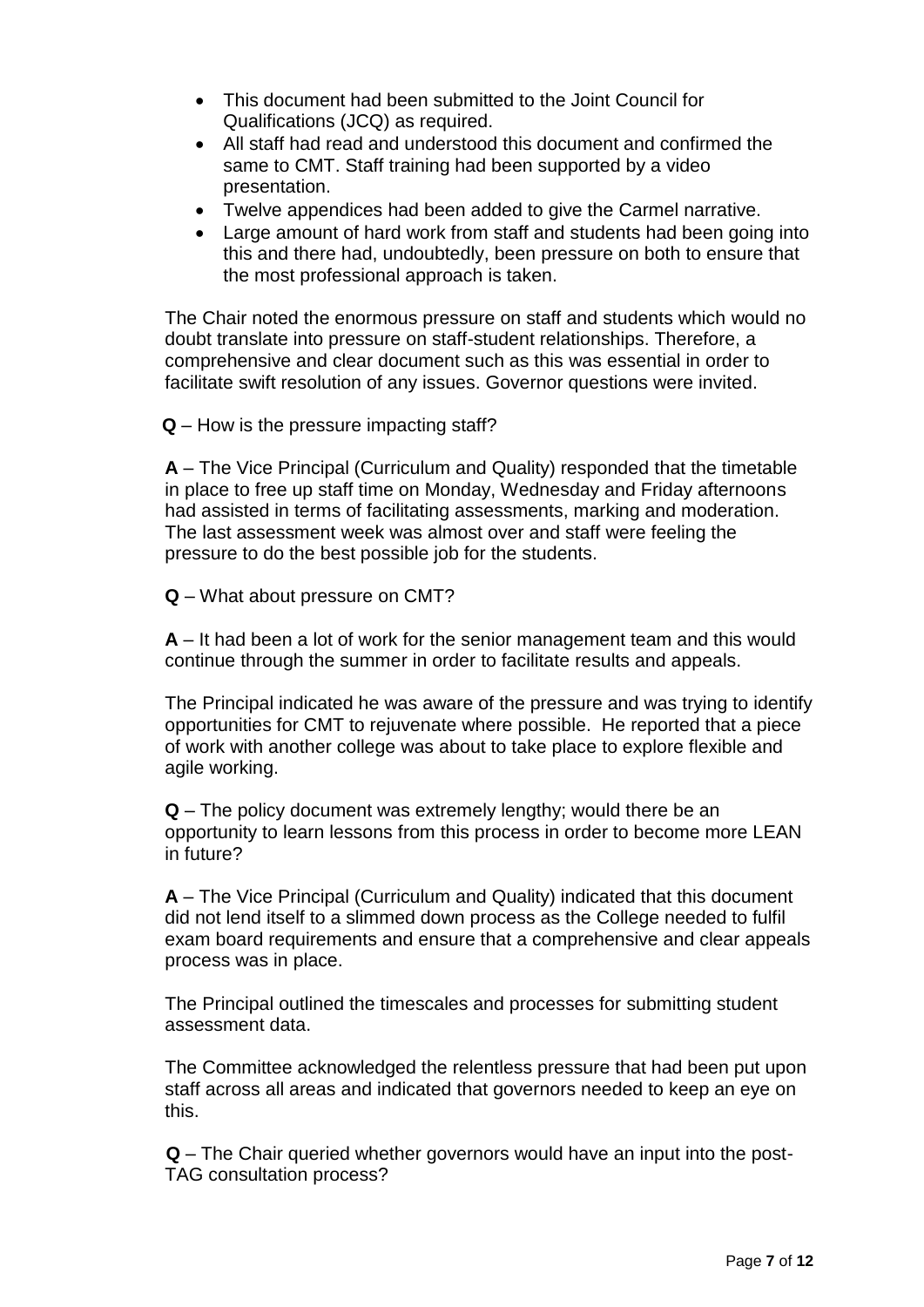- This document had been submitted to the Joint Council for Qualifications (JCQ) as required.
- All staff had read and understood this document and confirmed the same to CMT. Staff training had been supported by a video presentation.
- Twelve appendices had been added to give the Carmel narrative.
- Large amount of hard work from staff and students had been going into this and there had, undoubtedly, been pressure on both to ensure that the most professional approach is taken.

The Chair noted the enormous pressure on staff and students which would no doubt translate into pressure on staff-student relationships. Therefore, a comprehensive and clear document such as this was essential in order to facilitate swift resolution of any issues. Governor questions were invited.

**Q** – How is the pressure impacting staff?

**A** – The Vice Principal (Curriculum and Quality) responded that the timetable in place to free up staff time on Monday, Wednesday and Friday afternoons had assisted in terms of facilitating assessments, marking and moderation. The last assessment week was almost over and staff were feeling the pressure to do the best possible job for the students.

**Q** – What about pressure on CMT?

**A** – It had been a lot of work for the senior management team and this would continue through the summer in order to facilitate results and appeals.

The Principal indicated he was aware of the pressure and was trying to identify opportunities for CMT to rejuvenate where possible. He reported that a piece of work with another college was about to take place to explore flexible and agile working.

**Q** – The policy document was extremely lengthy; would there be an opportunity to learn lessons from this process in order to become more LEAN in future?

**A** – The Vice Principal (Curriculum and Quality) indicated that this document did not lend itself to a slimmed down process as the College needed to fulfil exam board requirements and ensure that a comprehensive and clear appeals process was in place.

The Principal outlined the timescales and processes for submitting student assessment data.

The Committee acknowledged the relentless pressure that had been put upon staff across all areas and indicated that governors needed to keep an eye on this.

**Q** – The Chair queried whether governors would have an input into the post-TAG consultation process?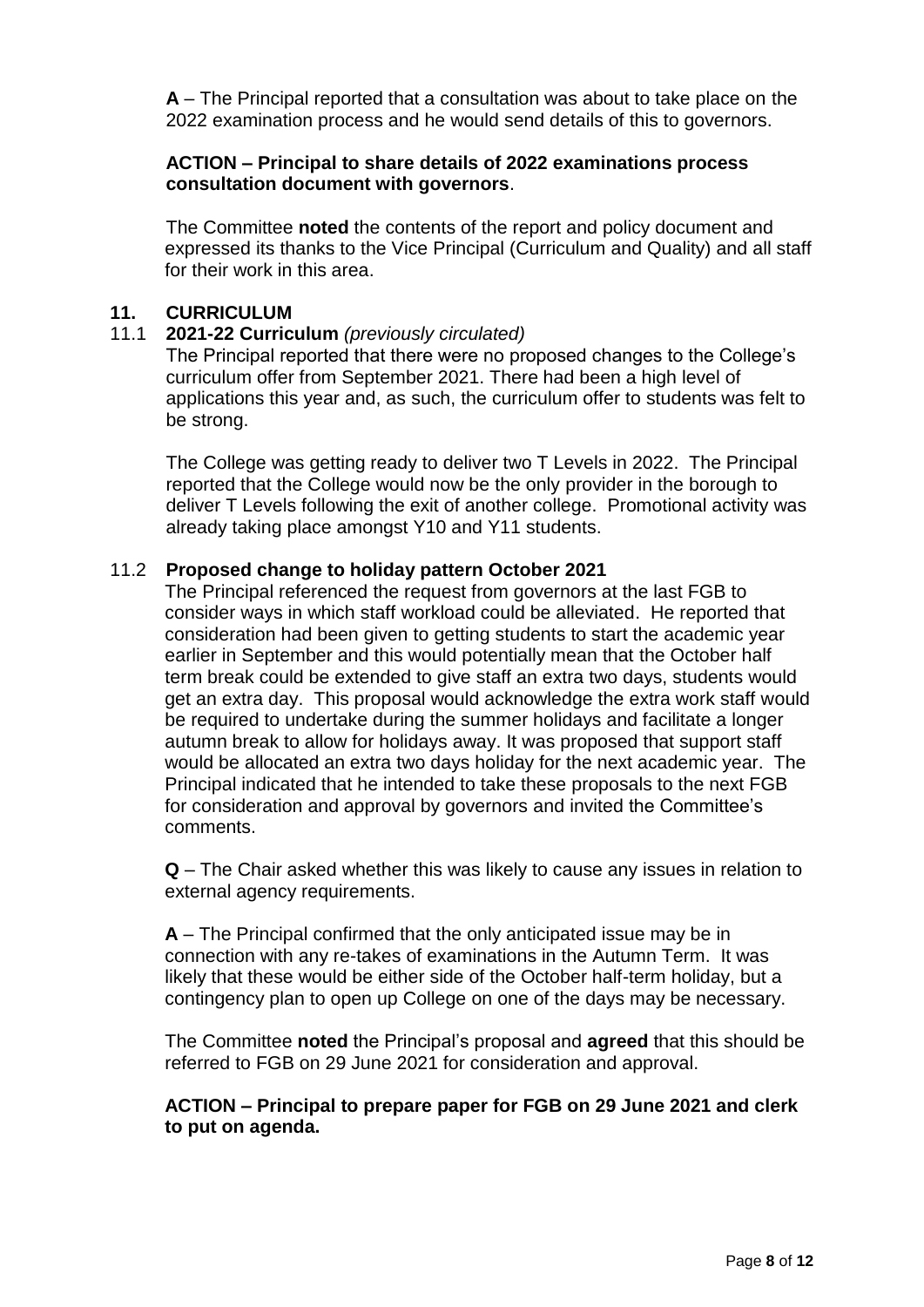**A** – The Principal reported that a consultation was about to take place on the 2022 examination process and he would send details of this to governors.

#### **ACTION – Principal to share details of 2022 examinations process consultation document with governors**.

The Committee **noted** the contents of the report and policy document and expressed its thanks to the Vice Principal (Curriculum and Quality) and all staff for their work in this area.

#### **11. CURRICULUM**

#### 11.1 **2021-22 Curriculum** *(previously circulated)*

The Principal reported that there were no proposed changes to the College's curriculum offer from September 2021. There had been a high level of applications this year and, as such, the curriculum offer to students was felt to be strong.

The College was getting ready to deliver two T Levels in 2022. The Principal reported that the College would now be the only provider in the borough to deliver T Levels following the exit of another college. Promotional activity was already taking place amongst Y10 and Y11 students.

#### 11.2 **Proposed change to holiday pattern October 2021**

The Principal referenced the request from governors at the last FGB to consider ways in which staff workload could be alleviated. He reported that consideration had been given to getting students to start the academic year earlier in September and this would potentially mean that the October half term break could be extended to give staff an extra two days, students would get an extra day. This proposal would acknowledge the extra work staff would be required to undertake during the summer holidays and facilitate a longer autumn break to allow for holidays away. It was proposed that support staff would be allocated an extra two days holiday for the next academic year. The Principal indicated that he intended to take these proposals to the next FGB for consideration and approval by governors and invited the Committee's comments.

**Q** – The Chair asked whether this was likely to cause any issues in relation to external agency requirements.

**A** – The Principal confirmed that the only anticipated issue may be in connection with any re-takes of examinations in the Autumn Term. It was likely that these would be either side of the October half-term holiday, but a contingency plan to open up College on one of the days may be necessary.

The Committee **noted** the Principal's proposal and **agreed** that this should be referred to FGB on 29 June 2021 for consideration and approval.

#### **ACTION – Principal to prepare paper for FGB on 29 June 2021 and clerk to put on agenda.**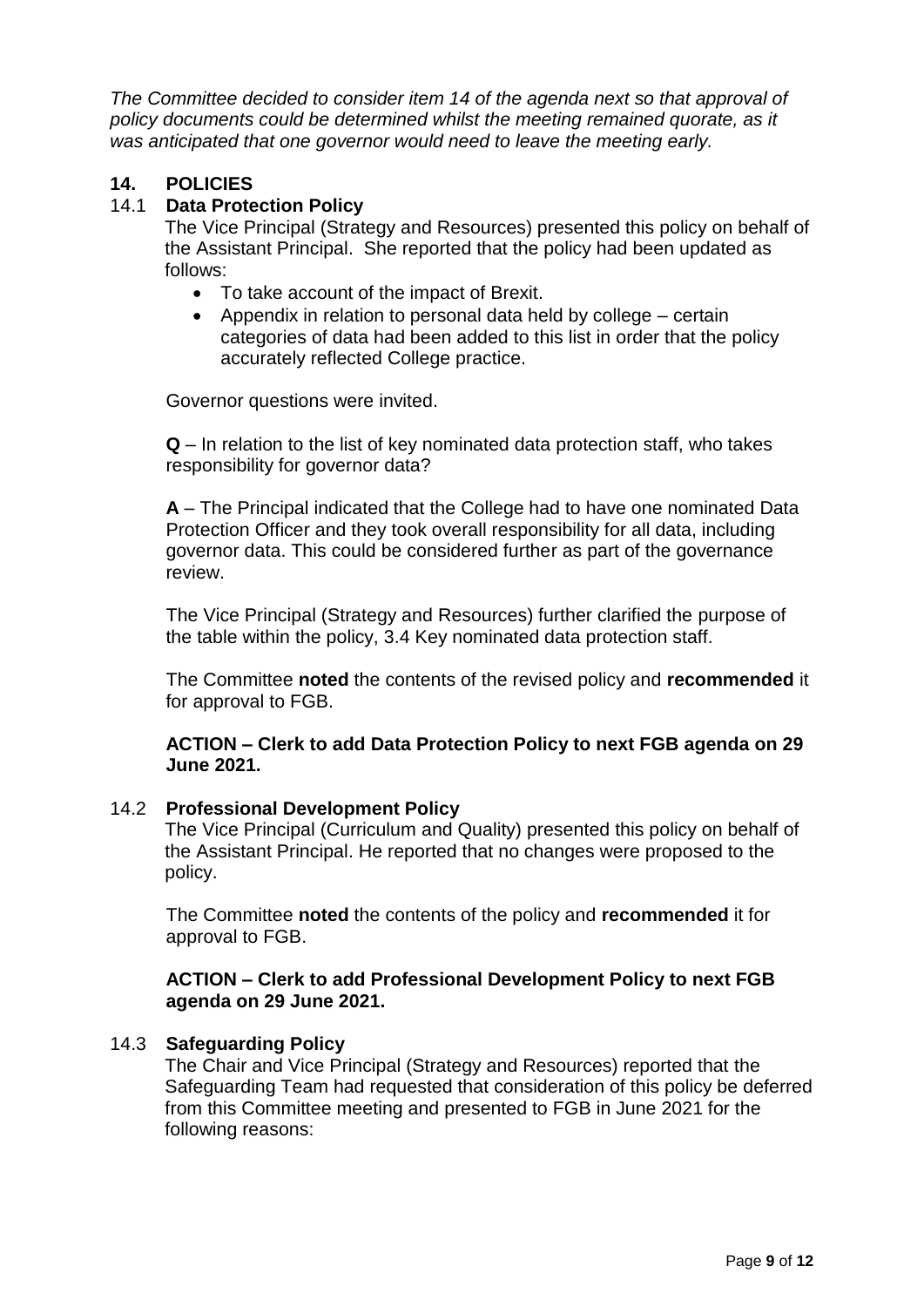The Committee decided to consider item 14 of the agenda next so that approval of *policy documents could be determined whilst the meeting remained quorate, as it was anticipated that one governor would need to leave the meeting early.*

# **14. POLICIES**

# 14.1 **Data Protection Policy**

The Vice Principal (Strategy and Resources) presented this policy on behalf of the Assistant Principal. She reported that the policy had been updated as follows:

- To take account of the impact of Brexit.
- Appendix in relation to personal data held by college certain categories of data had been added to this list in order that the policy accurately reflected College practice.

Governor questions were invited.

**Q** – In relation to the list of key nominated data protection staff, who takes responsibility for governor data?

**A** – The Principal indicated that the College had to have one nominated Data Protection Officer and they took overall responsibility for all data, including governor data. This could be considered further as part of the governance review.

The Vice Principal (Strategy and Resources) further clarified the purpose of the table within the policy, 3.4 Key nominated data protection staff.

The Committee **noted** the contents of the revised policy and **recommended** it for approval to FGB.

#### **ACTION – Clerk to add Data Protection Policy to next FGB agenda on 29 June 2021.**

#### 14.2 **Professional Development Policy**

The Vice Principal (Curriculum and Quality) presented this policy on behalf of the Assistant Principal. He reported that no changes were proposed to the policy.

The Committee **noted** the contents of the policy and **recommended** it for approval to FGB.

#### **ACTION – Clerk to add Professional Development Policy to next FGB agenda on 29 June 2021.**

#### 14.3 **Safeguarding Policy**

The Chair and Vice Principal (Strategy and Resources) reported that the Safeguarding Team had requested that consideration of this policy be deferred from this Committee meeting and presented to FGB in June 2021 for the following reasons: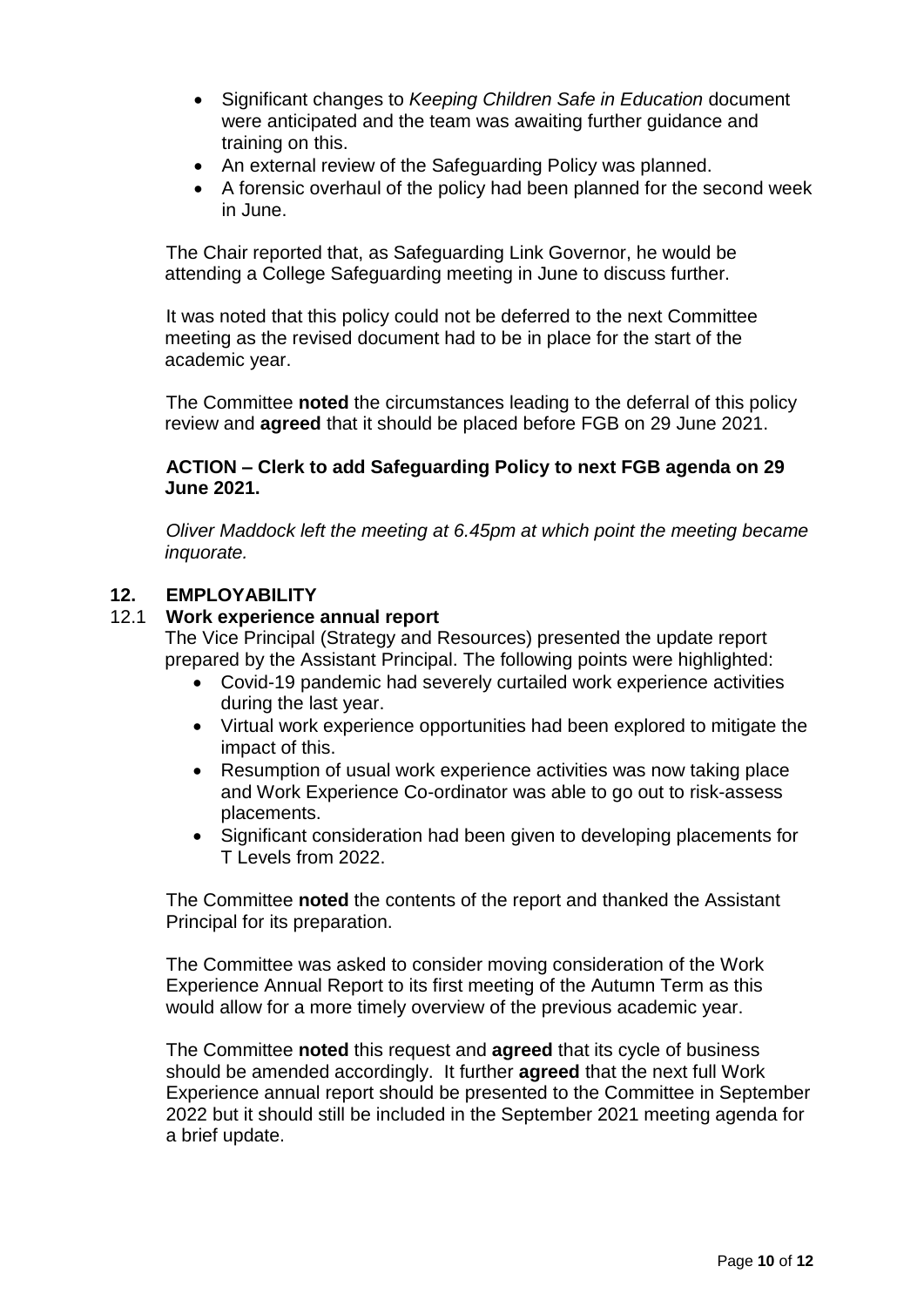- Significant changes to *Keeping Children Safe in Education* document were anticipated and the team was awaiting further guidance and training on this.
- An external review of the Safeguarding Policy was planned.
- A forensic overhaul of the policy had been planned for the second week in June.

The Chair reported that, as Safeguarding Link Governor, he would be attending a College Safeguarding meeting in June to discuss further.

It was noted that this policy could not be deferred to the next Committee meeting as the revised document had to be in place for the start of the academic year.

The Committee **noted** the circumstances leading to the deferral of this policy review and **agreed** that it should be placed before FGB on 29 June 2021.

#### **ACTION – Clerk to add Safeguarding Policy to next FGB agenda on 29 June 2021.**

*Oliver Maddock left the meeting at 6.45pm at which point the meeting became inquorate.*

# **12. EMPLOYABILITY**

#### 12.1 **Work experience annual report**

The Vice Principal (Strategy and Resources) presented the update report prepared by the Assistant Principal. The following points were highlighted:

- Covid-19 pandemic had severely curtailed work experience activities during the last year.
- Virtual work experience opportunities had been explored to mitigate the impact of this.
- Resumption of usual work experience activities was now taking place and Work Experience Co-ordinator was able to go out to risk-assess placements.
- Significant consideration had been given to developing placements for T Levels from 2022.

The Committee **noted** the contents of the report and thanked the Assistant Principal for its preparation.

The Committee was asked to consider moving consideration of the Work Experience Annual Report to its first meeting of the Autumn Term as this would allow for a more timely overview of the previous academic year.

The Committee **noted** this request and **agreed** that its cycle of business should be amended accordingly. It further **agreed** that the next full Work Experience annual report should be presented to the Committee in September 2022 but it should still be included in the September 2021 meeting agenda for a brief update.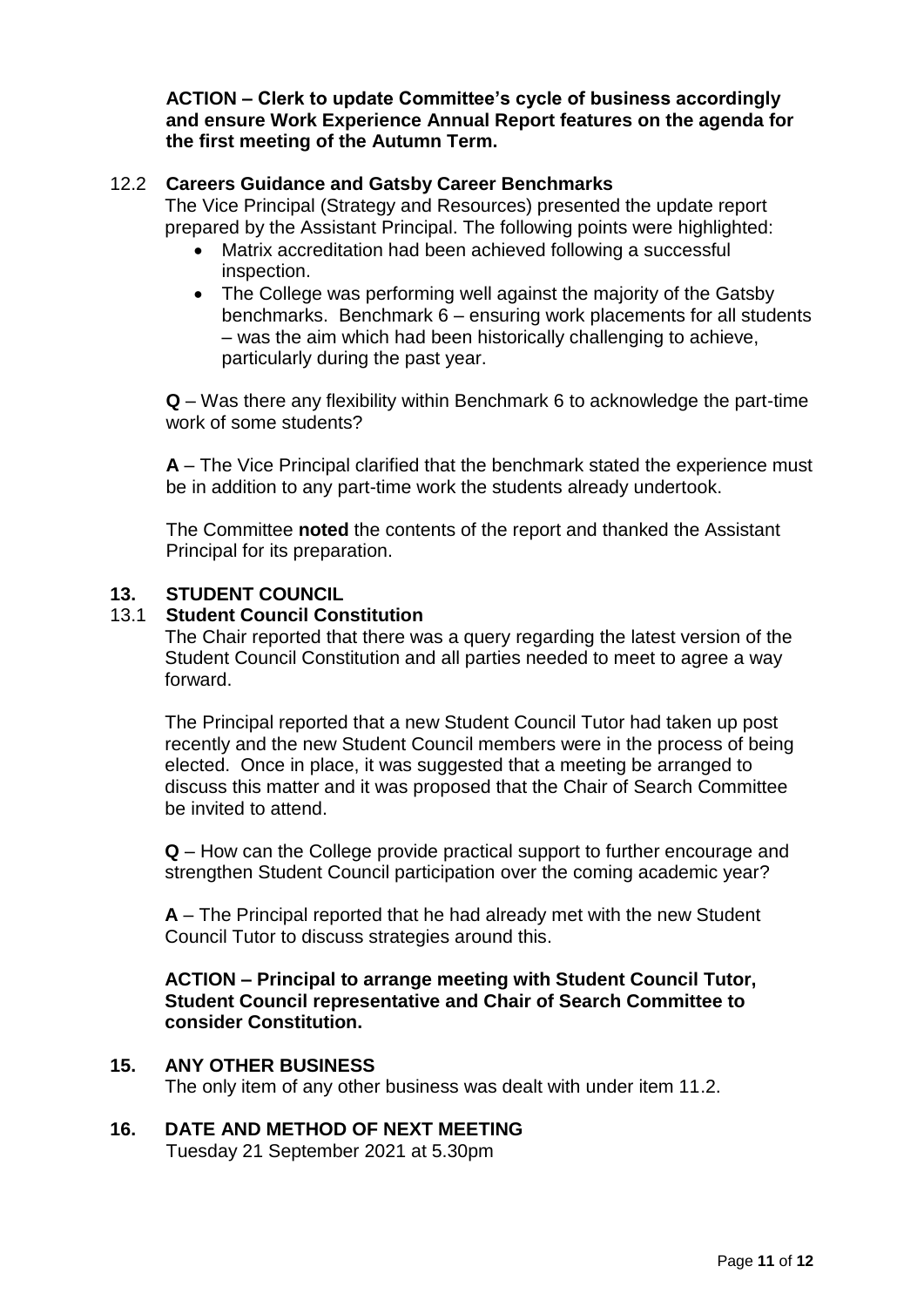**ACTION – Clerk to update Committee's cycle of business accordingly and ensure Work Experience Annual Report features on the agenda for the first meeting of the Autumn Term.**

#### 12.2 **Careers Guidance and Gatsby Career Benchmarks**

The Vice Principal (Strategy and Resources) presented the update report prepared by the Assistant Principal. The following points were highlighted:

- Matrix accreditation had been achieved following a successful inspection.
- The College was performing well against the majority of the Gatsby benchmarks. Benchmark 6 – ensuring work placements for all students – was the aim which had been historically challenging to achieve, particularly during the past year.

**Q** – Was there any flexibility within Benchmark 6 to acknowledge the part-time work of some students?

**A** – The Vice Principal clarified that the benchmark stated the experience must be in addition to any part-time work the students already undertook.

The Committee **noted** the contents of the report and thanked the Assistant Principal for its preparation.

#### **13. STUDENT COUNCIL**

#### 13.1 **Student Council Constitution**

The Chair reported that there was a query regarding the latest version of the Student Council Constitution and all parties needed to meet to agree a way forward.

The Principal reported that a new Student Council Tutor had taken up post recently and the new Student Council members were in the process of being elected. Once in place, it was suggested that a meeting be arranged to discuss this matter and it was proposed that the Chair of Search Committee be invited to attend.

**Q** – How can the College provide practical support to further encourage and strengthen Student Council participation over the coming academic year?

**A** – The Principal reported that he had already met with the new Student Council Tutor to discuss strategies around this.

**ACTION – Principal to arrange meeting with Student Council Tutor, Student Council representative and Chair of Search Committee to consider Constitution.**

#### **15. ANY OTHER BUSINESS**

The only item of any other business was dealt with under item 11.2.

# **16. DATE AND METHOD OF NEXT MEETING**

Tuesday 21 September 2021 at 5.30pm